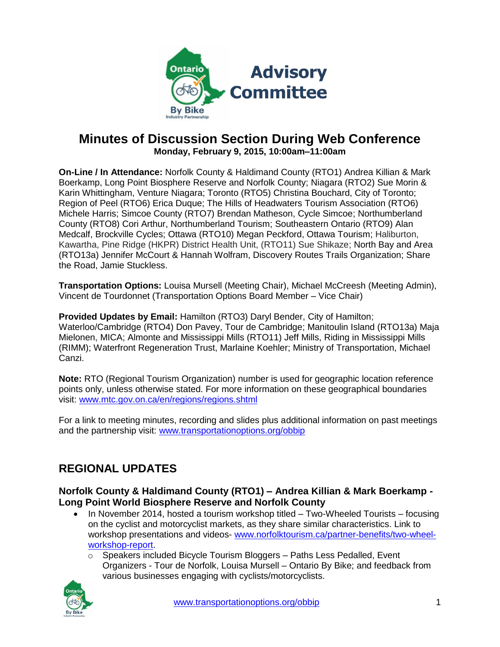

## **Minutes of Discussion Section During Web Conference Monday, February 9, 2015, 10:00am–11:00am**

**On-Line / In Attendance:** Norfolk County & Haldimand County (RTO1) Andrea Killian & Mark Boerkamp, Long Point Biosphere Reserve and Norfolk County; Niagara (RTO2) Sue Morin & Karin Whittingham, Venture Niagara; Toronto (RTO5) Christina Bouchard, City of Toronto; Region of Peel (RTO6) Erica Duque; The Hills of Headwaters Tourism Association (RTO6) Michele Harris; Simcoe County (RTO7) Brendan Matheson, Cycle Simcoe; Northumberland County (RTO8) Cori Arthur, Northumberland Tourism; Southeastern Ontario (RTO9) Alan Medcalf, Brockville Cycles; Ottawa (RTO10) Megan Peckford, Ottawa Tourism; Haliburton, Kawartha, Pine Ridge (HKPR) District Health Unit, (RTO11) Sue Shikaze; North Bay and Area (RTO13a) Jennifer McCourt & Hannah Wolfram, Discovery Routes Trails Organization; Share the Road, Jamie Stuckless.

**Transportation Options:** Louisa Mursell (Meeting Chair), Michael McCreesh (Meeting Admin), Vincent de Tourdonnet (Transportation Options Board Member – Vice Chair)

**Provided Updates by Email:** Hamilton (RTO3) Daryl Bender, City of Hamilton; Waterloo/Cambridge (RTO4) Don Pavey, Tour de Cambridge; Manitoulin Island (RTO13a) Maja Mielonen, MICA; Almonte and Mississippi Mills (RTO11) Jeff Mills, Riding in Mississippi Mills (RIMM); Waterfront Regeneration Trust, Marlaine Koehler; Ministry of Transportation, Michael Canzi.

**Note:** RTO (Regional Tourism Organization) number is used for geographic location reference points only, unless otherwise stated. For more information on these geographical boundaries visit: [www.mtc.gov.on.ca/en/regions/regions.shtml](http://www.mtc.gov.on.ca/en/regions/regions.shtml)

For a link to meeting minutes, recording and slides plus additional information on past meetings and the partnership visit: [www.transportationoptions.org/obbip](http://www.transportationoptions.org/obbip)

## **REGIONAL UPDATES**

#### **Norfolk County & Haldimand County (RTO1) – Andrea Killian & Mark Boerkamp - Long Point World Biosphere Reserve and Norfolk County**

- $\bullet$  In November 2014, hosted a tourism workshop titled Two-Wheeled Tourists focusing on the cyclist and motorcyclist markets, as they share similar characteristics. Link to workshop presentations and videos- [www.norfolktourism.ca/partner-benefits/two-wheel](http://www.norfolktourism.ca/partner-benefits/two-wheel-workshop-report)[workshop-report.](http://www.norfolktourism.ca/partner-benefits/two-wheel-workshop-report)
	- $\circ$  Speakers included Bicycle Tourism Bloggers Paths Less Pedalled, Event Organizers - Tour de Norfolk, Louisa Mursell – Ontario By Bike; and feedback from various businesses engaging with cyclists/motorcyclists.

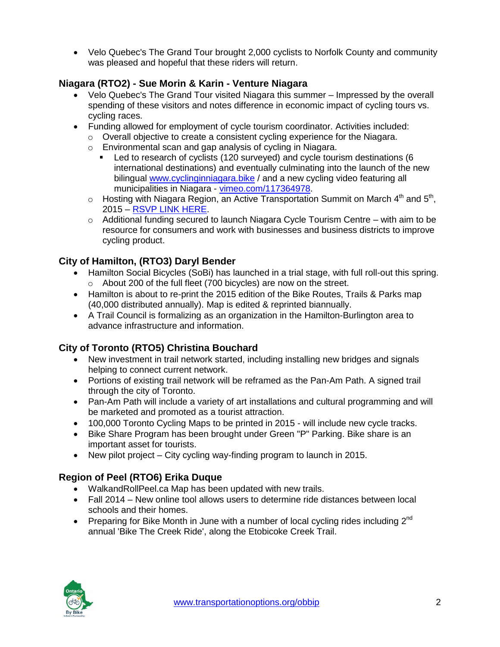• Velo Quebec's The Grand Tour brought 2,000 cyclists to Norfolk County and community was pleased and hopeful that these riders will return.

## **Niagara (RTO2) - Sue Morin & Karin - Venture Niagara**

- Velo Quebec's The Grand Tour visited Niagara this summer Impressed by the overall spending of these visitors and notes difference in economic impact of cycling tours vs. cycling races.
- Funding allowed for employment of cycle tourism coordinator. Activities included:
	- $\circ$  Overall objective to create a consistent cycling experience for the Niagara.
	- o Environmental scan and gap analysis of cycling in Niagara.
		- Led to research of cyclists (120 surveyed) and cycle tourism destinations (6 international destinations) and eventually culminating into the launch of the new bilingual [www.cyclinginniagara.bike](http://www.cyclinginniagara.bike/) / and a new cycling video featuring all municipalities in Niagara - [vimeo.com/117364978.](http://t.co/dUzCUDaj1v)
	- $\circ$  Hosting with Niagara Region, an Active Transportation Summit on March  $4<sup>th</sup>$  and  $5<sup>th</sup>$ , 2015 – [RSVP LINK HERE.](https://www.eventbrite.ca/e/niagara-active-transportation-summit-registration-15279087161)
	- $\circ$  Additional funding secured to launch Niagara Cycle Tourism Centre with aim to be resource for consumers and work with businesses and business districts to improve cycling product.

## **City of Hamilton, (RTO3) Daryl Bender**

- Hamilton Social Bicycles (SoBi) has launched in a trial stage, with full roll-out this spring. o About 200 of the full fleet (700 bicycles) are now on the street.
- Hamilton is about to re-print the 2015 edition of the Bike Routes, Trails & Parks map (40,000 distributed annually). Map is edited & reprinted biannually.
- A Trail Council is formalizing as an organization in the Hamilton-Burlington area to advance infrastructure and information.

#### **City of Toronto (RTO5) Christina Bouchard**

- New investment in trail network started, including installing new bridges and signals helping to connect current network.
- Portions of existing trail network will be reframed as the Pan-Am Path. A signed trail through the city of Toronto.
- Pan-Am Path will include a variety of art installations and cultural programming and will be marketed and promoted as a tourist attraction.
- 100,000 Toronto Cycling Maps to be printed in 2015 will include new cycle tracks.
- Bike Share Program has been brought under Green "P" Parking. Bike share is an important asset for tourists.
- New pilot project City cycling way-finding program to launch in 2015.

## **Region of Peel (RTO6) Erika Duque**

- WalkandRollPeel.ca Map has been updated with new trails.
- Fall 2014 New online tool allows users to determine ride distances between local schools and their homes.
- Preparing for Bike Month in June with a number of local cycling rides including  $2^{nd}$ annual 'Bike The Creek Ride', along the Etobicoke Creek Trail.

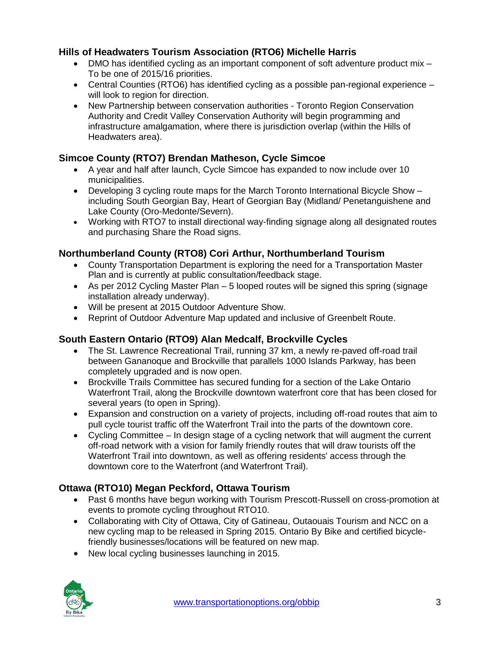#### **Hills of Headwaters Tourism Association (RTO6) Michelle Harris**

- DMO has identified cycling as an important component of soft adventure product mix To be one of 2015/16 priorities.
- Central Counties (RTO6) has identified cycling as a possible pan-regional experience will look to region for direction.
- New Partnership between conservation authorities Toronto Region Conservation Authority and Credit Valley Conservation Authority will begin programming and infrastructure amalgamation, where there is jurisdiction overlap (within the Hills of Headwaters area).

## **Simcoe County (RTO7) Brendan Matheson, Cycle Simcoe**

- A year and half after launch, Cycle Simcoe has expanded to now include over 10 municipalities.
- Developing 3 cycling route maps for the March Toronto International Bicycle Show including South Georgian Bay, Heart of Georgian Bay (Midland/ Penetanguishene and Lake County (Oro-Medonte/Severn).
- Working with RTO7 to install directional way-finding signage along all designated routes and purchasing Share the Road signs.

## **Northumberland County (RTO8) Cori Arthur, Northumberland Tourism**

- County Transportation Department is exploring the need for a Transportation Master Plan and is currently at public consultation/feedback stage.
- As per 2012 Cycling Master Plan 5 looped routes will be signed this spring (signage installation already underway).
- Will be present at 2015 Outdoor Adventure Show.
- Reprint of Outdoor Adventure Map updated and inclusive of Greenbelt Route.

## **South Eastern Ontario (RTO9) Alan Medcalf, Brockville Cycles**

- The St. Lawrence Recreational Trail, running 37 km, a newly re-paved off-road trail between Gananoque and Brockville that parallels 1000 Islands Parkway, has been completely upgraded and is now open.
- Brockville Trails Committee has secured funding for a section of the Lake Ontario Waterfront Trail, along the Brockville downtown waterfront core that has been closed for several years (to open in Spring).
- Expansion and construction on a variety of projects, including off-road routes that aim to pull cycle tourist traffic off the Waterfront Trail into the parts of the downtown core.
- Cycling Committee In design stage of a cycling network that will augment the current off-road network with a vision for family friendly routes that will draw tourists off the Waterfront Trail into downtown, as well as offering residents' access through the downtown core to the Waterfront (and Waterfront Trail).

## **Ottawa (RTO10) Megan Peckford, Ottawa Tourism**

- Past 6 months have begun working with Tourism Prescott-Russell on cross-promotion at events to promote cycling throughout RTO10.
- Collaborating with City of Ottawa, City of Gatineau, Outaouais Tourism and NCC on a new cycling map to be released in Spring 2015. Ontario By Bike and certified bicyclefriendly businesses/locations will be featured on new map.
- New local cycling businesses launching in 2015.

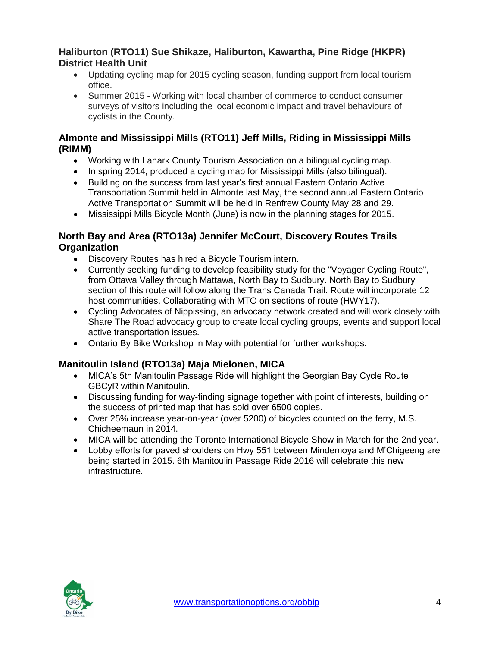#### **Haliburton (RTO11) Sue Shikaze, Haliburton, Kawartha, Pine Ridge (HKPR) District Health Unit**

- Updating cycling map for 2015 cycling season, funding support from local tourism office.
- Summer 2015 Working with local chamber of commerce to conduct consumer surveys of visitors including the local economic impact and travel behaviours of cyclists in the County.

#### **Almonte and Mississippi Mills (RTO11) Jeff Mills, Riding in Mississippi Mills (RIMM)**

- Working with Lanark County Tourism Association on a bilingual cycling map.
- In spring 2014, produced a cycling map for Mississippi Mills (also bilingual).
- Building on the success from last year's first annual Eastern Ontario Active Transportation Summit held in Almonte last May, the second annual Eastern Ontario Active Transportation Summit will be held in Renfrew County May 28 and 29.
- Mississippi Mills Bicycle Month (June) is now in the planning stages for 2015.

#### **North Bay and Area (RTO13a) Jennifer McCourt, Discovery Routes Trails Organization**

- Discovery Routes has hired a Bicycle Tourism intern.
- Currently seeking funding to develop feasibility study for the "Voyager Cycling Route", from Ottawa Valley through Mattawa, North Bay to Sudbury. North Bay to Sudbury section of this route will follow along the Trans Canada Trail. Route will incorporate 12 host communities. Collaborating with MTO on sections of route (HWY17).
- Cycling Advocates of Nippissing, an advocacy network created and will work closely with Share The Road advocacy group to create local cycling groups, events and support local active transportation issues.
- Ontario By Bike Workshop in May with potential for further workshops.

#### **Manitoulin Island (RTO13a) Maja Mielonen, MICA**

- MICA's 5th Manitoulin Passage Ride will highlight the Georgian Bay Cycle Route GBCyR within Manitoulin.
- Discussing funding for way-finding signage together with point of interests, building on the success of printed map that has sold over 6500 copies.
- Over 25% increase year-on-year (over 5200) of bicycles counted on the ferry, M.S. Chicheemaun in 2014.
- MICA will be attending the Toronto International Bicycle Show in March for the 2nd year.
- Lobby efforts for paved shoulders on Hwy 551 between Mindemoya and M'Chigeeng are being started in 2015. 6th Manitoulin Passage Ride 2016 will celebrate this new infrastructure.

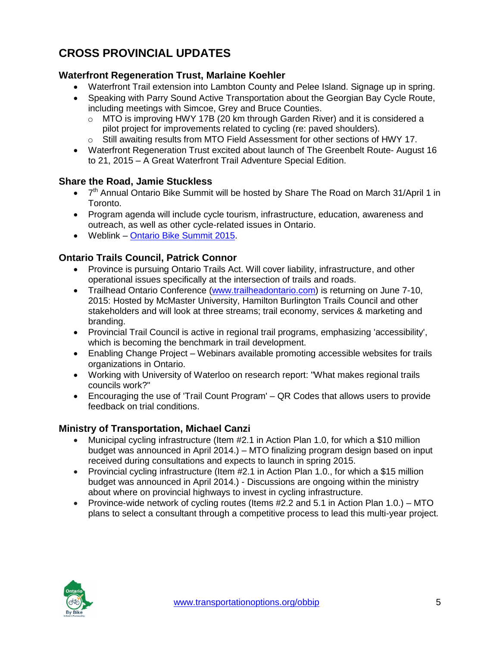# **CROSS PROVINCIAL UPDATES**

#### **Waterfront Regeneration Trust, Marlaine Koehler**

- Waterfront Trail extension into Lambton County and Pelee Island. Signage up in spring.
- Speaking with Parry Sound Active Transportation about the Georgian Bay Cycle Route, including meetings with Simcoe, Grey and Bruce Counties.
	- $\circ$  MTO is improving HWY 17B (20 km through Garden River) and it is considered a pilot project for improvements related to cycling (re: paved shoulders).
	- o Still awaiting results from MTO Field Assessment for other sections of HWY 17.
- Waterfront Regeneration Trust excited about launch of The Greenbelt Route- August 16 to 21, 2015 – A Great Waterfront Trail Adventure Special Edition.

#### **Share the Road, Jamie Stuckless**

- 7<sup>th</sup> Annual Ontario Bike Summit will be hosted by Share The Road on March 31/April 1 in Toronto.
- Program agenda will include cycle tourism, infrastructure, education, awareness and outreach, as well as other cycle-related issues in Ontario.
- Weblink [Ontario Bike Summit 2015.](http://www.sharetheroad.ca/obs-2015-s16970)

#### **Ontario Trails Council, Patrick Connor**

- Province is pursuing Ontario Trails Act. Will cover liability, infrastructure, and other operational issues specifically at the intersection of trails and roads.
- Trailhead Ontario Conference [\(www.trailheadontario.com\)](http://www.trailheadontario.com/) is returning on June 7-10, 2015: Hosted by McMaster University, Hamilton Burlington Trails Council and other stakeholders and will look at three streams; trail economy, services & marketing and branding.
- Provincial Trail Council is active in regional trail programs, emphasizing 'accessibility', which is becoming the benchmark in trail development.
- Enabling Change Project Webinars available promoting accessible websites for trails organizations in Ontario.
- Working with University of Waterloo on research report: "What makes regional trails councils work?"
- Encouraging the use of 'Trail Count Program' QR Codes that allows users to provide feedback on trial conditions.

#### **Ministry of Transportation, Michael Canzi**

- Municipal cycling infrastructure (Item #2.1 in Action Plan 1.0, for which a \$10 million budget was announced in April 2014.) – MTO finalizing program design based on input received during consultations and expects to launch in spring 2015.
- Provincial cycling infrastructure (Item #2.1 in Action Plan 1.0., for which a \$15 million budget was announced in April 2014.) - Discussions are ongoing within the ministry about where on provincial highways to invest in cycling infrastructure.
- Province-wide network of cycling routes (Items  $#2.2$  and 5.1 in Action Plan 1.0.) MTO plans to select a consultant through a competitive process to lead this multi-year project.

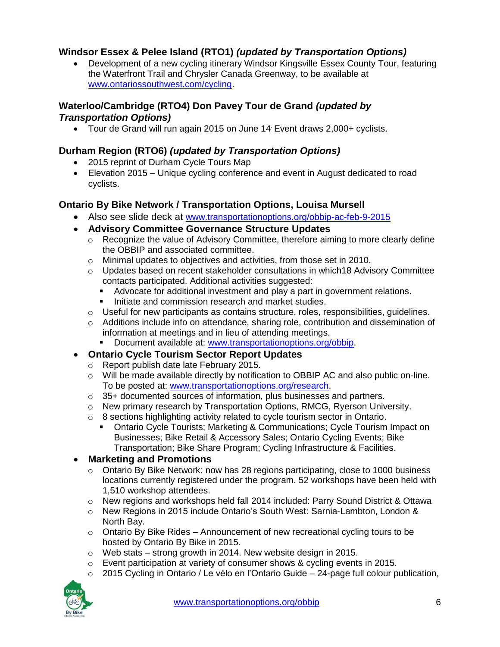#### **Windsor Essex & Pelee Island (RTO1)** *(updated by Transportation Options)*

• Development of a new cycling itinerary Windsor Kingsville Essex County Tour, featuring the Waterfront Trail and Chrysler Canada Greenway, to be available at [www.ontariossouthwest.com/cycling.](http://www.ontariossouthwest.com/cycling)

#### **Waterloo/Cambridge (RTO4) Don Pavey Tour de Grand** *(updated by Transportation Options)*

Tour de Grand will run again 2015 on June 14. Event draws 2,000+ cyclists.

## **Durham Region (RTO6)** *(updated by Transportation Options)*

- 2015 reprint of Durham Cycle Tours Map
- Elevation 2015 Unique cycling conference and event in August dedicated to road cyclists.

#### **Ontario By Bike Network / Transportation Options, Louisa Mursell**

- Also see slide deck at [www.transportationoptions.org/obbip-ac-feb-9-2015](http://www.transportationoptions.org/obbip-ac-feb-9-2015.html)
- **Advisory Committee Governance Structure Updates** 
	- $\circ$  Recognize the value of Advisory Committee, therefore aiming to more clearly define the OBBIP and associated committee.
	- o Minimal updates to objectives and activities, from those set in 2010.
	- $\circ$  Updates based on recent stakeholder consultations in which 18 Advisory Committee contacts participated. Additional activities suggested:
		- Advocate for additional investment and play a part in government relations.
		- Initiate and commission research and market studies.
	- $\circ$  Useful for new participants as contains structure, roles, responsibilities, quidelines.
	- $\circ$  Additions include info on attendance, sharing role, contribution and dissemination of information at meetings and in lieu of attending meetings.
		- Document available at: [www.transportationoptions.org/obbip.](http://www.transportationoptions.org/obbip)

#### **Ontario Cycle Tourism Sector Report Updates**

- o Report publish date late February 2015.
- o Will be made available directly by notification to OBBIP AC and also public on-line. To be posted at: [www.transportationoptions.org/research.](http://www.transportationoptions.org/research)
- o 35+ documented sources of information, plus businesses and partners.
- o New primary research by Transportation Options, RMCG, Ryerson University.
- $\circ$  8 sections highlighting activity related to cycle tourism sector in Ontario.
	- Ontario Cycle Tourists; Marketing & Communications; Cycle Tourism Impact on Businesses; Bike Retail & Accessory Sales; Ontario Cycling Events; Bike Transportation; Bike Share Program; Cycling Infrastructure & Facilities.

#### **Marketing and Promotions**

- $\circ$  Ontario By Bike Network: now has 28 regions participating, close to 1000 business locations currently registered under the program. 52 workshops have been held with 1,510 workshop attendees.
- $\circ$  New regions and workshops held fall 2014 included: Parry Sound District & Ottawa
- o New Regions in 2015 include Ontario's South West: Sarnia-Lambton, London & North Bay.
- $\circ$  Ontario By Bike Rides Announcement of new recreational cycling tours to be hosted by Ontario By Bike in 2015.
- o Web stats strong growth in 2014. New website design in 2015.
- $\circ$  Event participation at variety of consumer shows & cycling events in 2015.
- $\circ$  2015 Cycling in Ontario / Le vélo en l'Ontario Guide 24-page full colour publication,